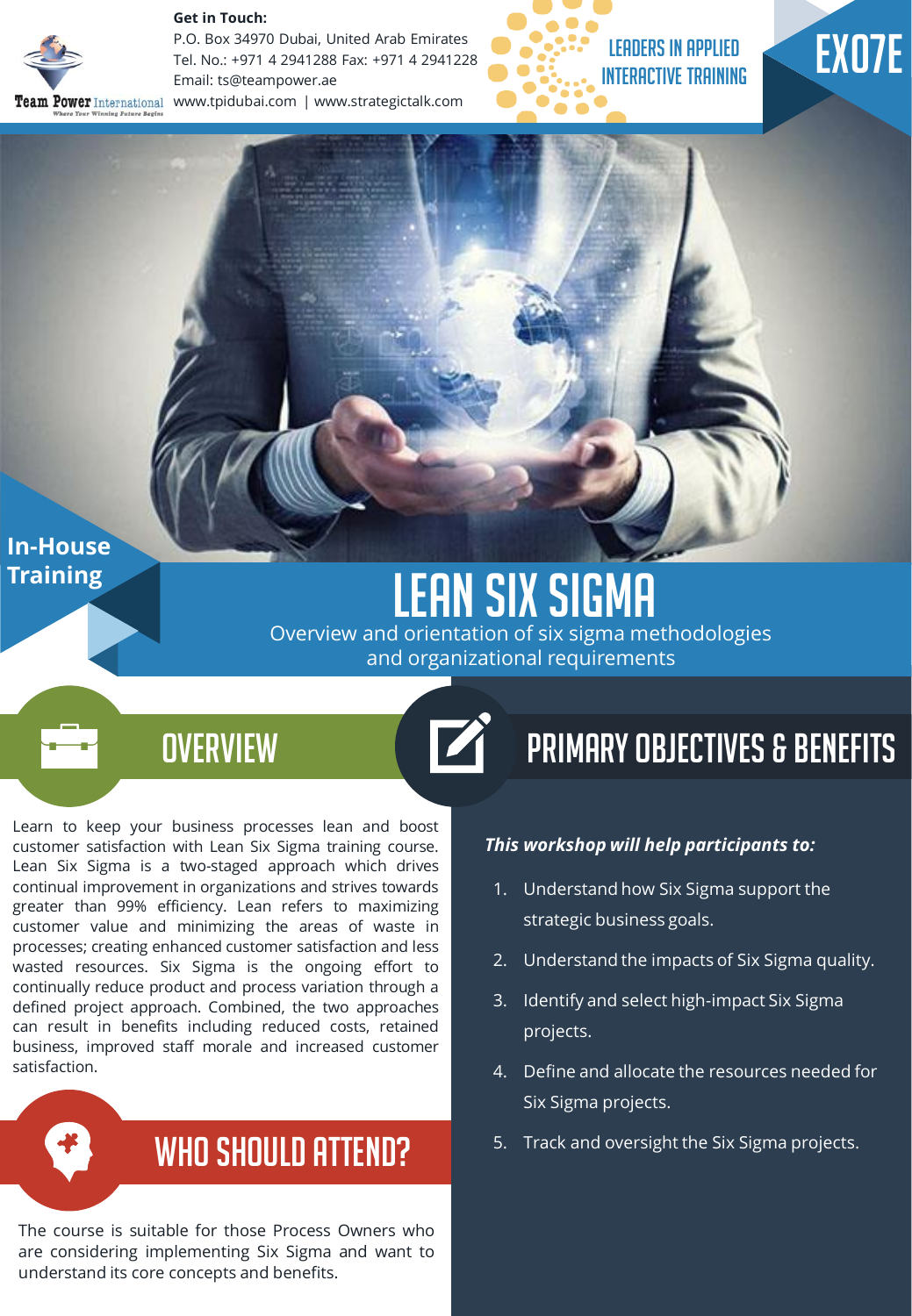

**Get in Touch:** 

P.O. Box 34970 Dubai, United Arab Emirates Tel. No.: +971 4 2941288 Fax: +971 4 2941228 Email: ts@teampower.ae Team Power International www.tpidubai.com | www.strategictalk.com



# EX07E

**In-House Training** 

## LEAN SIX SIGMA

Overview and orientation of six sigma methodologies and organizational requirements

 $\overrightarrow{a}$ 

### **OVERVIEW**

Learn to keep your business processes lean and boost customer satisfaction with Lean Six Sigma training course. Lean Six Sigma is a two-staged approach which drives continual improvement in organizations and strives towards greater than 99% efficiency. Lean refers to maximizing customer value and minimizing the areas of waste in processes; creating enhanced customer satisfaction and less wasted resources. Six Sigma is the ongoing effort to continually reduce product and process variation through a defined project approach. Combined, the two approaches can result in benefits including reduced costs, retained business, improved staff morale and increased customer satisfaction.

### WHO SHOULD ATTEND?

The course is suitable for those Process Owners who are considering implementing Six Sigma and want to understand its core concepts and benefits.

## Primary Objectives & Benefits

#### *This workshop will help participants to:*

- 1. Understand how Six Sigma support the strategic business goals.
- 2. Understand the impacts of Six Sigma quality.
- 3. Identify and select high-impact Six Sigma projects.
- 4. Define and allocate the resources needed for Six Sigma projects.
- 5. Track and oversight the Six Sigma projects.